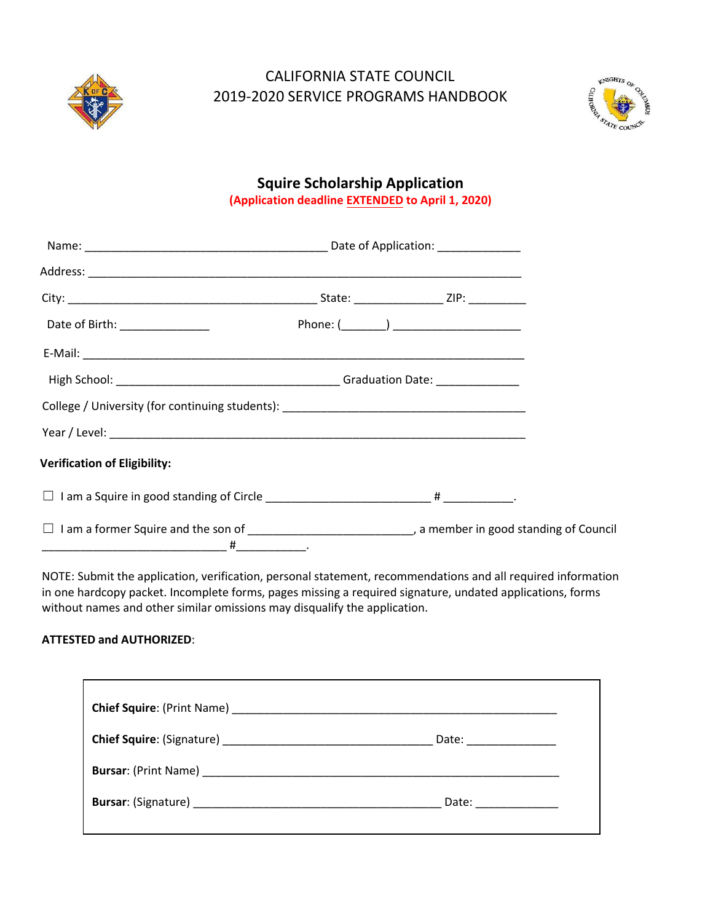

### CALIFORNIA STATE COUNCIL 2019-2020 SERVICE PROGRAMS HANDBOOK



### **Squire Scholarship Application (Application deadline EXTENDED to April 1, 2020)**

| College / University (for continuing students): _________________________________                                 |  |  |
|-------------------------------------------------------------------------------------------------------------------|--|--|
|                                                                                                                   |  |  |
| <b>Verification of Eligibility:</b>                                                                               |  |  |
|                                                                                                                   |  |  |
| $\Box$ I am a former Squire and the son of ________________________________, a member in good standing of Council |  |  |

NOTE: Submit the application, verification, personal statement, recommendations and all required information in one hardcopy packet. Incomplete forms, pages missing a required signature, undated applications, forms without names and other similar omissions may disqualify the application.

#### **ATTESTED and AUTHORIZED**:

|                                                                                                                       | Date: _______________ |
|-----------------------------------------------------------------------------------------------------------------------|-----------------------|
|                                                                                                                       |                       |
| <b>Bursar: (Signature)</b> Manual Manual Manual Manual Manual Manual Manual Manual Manual Manual Manual Manual Manual | Date: _____________   |
|                                                                                                                       |                       |